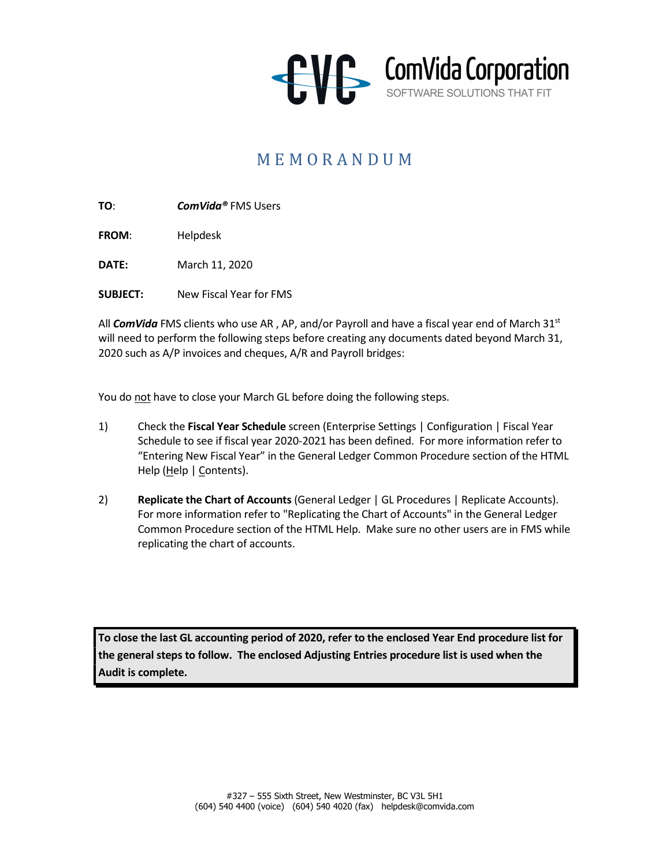

## M E M O R A N D U M

TO: ComVida® FMS Users

FROM: Helpdesk

DATE: March 11, 2020

SUBJECT: New Fiscal Year for FMS

All ComVida FMS clients who use AR, AP, and/or Payroll and have a fiscal year end of March 31st will need to perform the following steps before creating any documents dated beyond March 31, 2020 such as A/P invoices and cheques, A/R and Payroll bridges:

You do not have to close your March GL before doing the following steps.

- 1) Check the Fiscal Year Schedule screen (Enterprise Settings | Configuration | Fiscal Year Schedule to see if fiscal year 2020-2021 has been defined. For more information refer to "Entering New Fiscal Year" in the General Ledger Common Procedure section of the HTML Help (Help | Contents).
- 2) Replicate the Chart of Accounts (General Ledger | GL Procedures | Replicate Accounts). For more information refer to "Replicating the Chart of Accounts" in the General Ledger Common Procedure section of the HTML Help. Make sure no other users are in FMS while replicating the chart of accounts.

To close the last GL accounting period of 2020, refer to the enclosed Year End procedure list for the general steps to follow. The enclosed Adjusting Entries procedure list is used when the Audit is complete.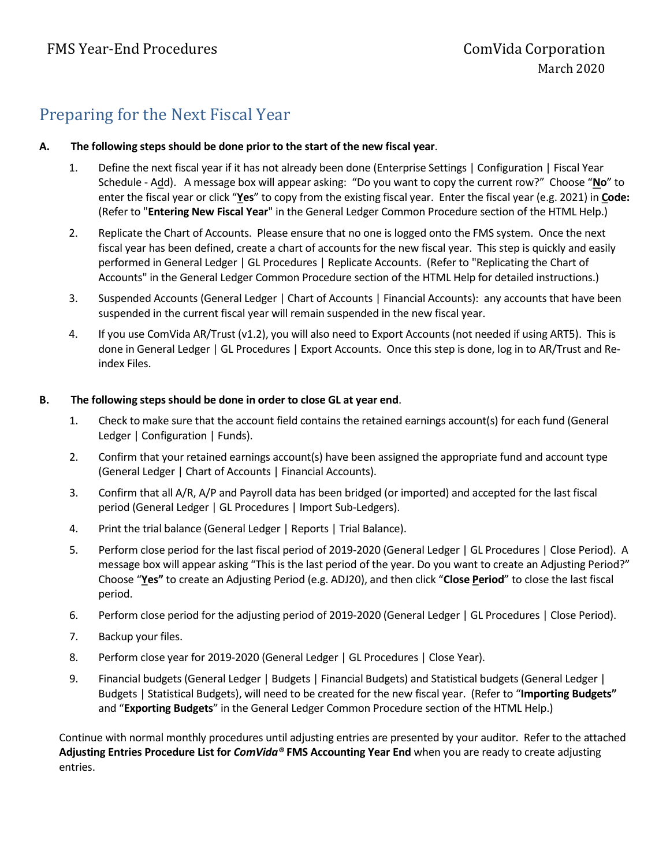## Preparing for the Next Fiscal Year

### A. The following steps should be done prior to the start of the new fiscal year.

- 1. Define the next fiscal year if it has not already been done (Enterprise Settings | Configuration | Fiscal Year Schedule - Add). A message box will appear asking: "Do you want to copy the current row?" Choose "No" to enter the fiscal year or click "Yes" to copy from the existing fiscal year. Enter the fiscal year (e.g. 2021) in Code: (Refer to "Entering New Fiscal Year" in the General Ledger Common Procedure section of the HTML Help.)
- 2. Replicate the Chart of Accounts. Please ensure that no one is logged onto the FMS system. Once the next fiscal year has been defined, create a chart of accounts for the new fiscal year. This step is quickly and easily performed in General Ledger | GL Procedures | Replicate Accounts. (Refer to "Replicating the Chart of Accounts" in the General Ledger Common Procedure section of the HTML Help for detailed instructions.)
- 3. Suspended Accounts (General Ledger | Chart of Accounts | Financial Accounts): any accounts that have been suspended in the current fiscal year will remain suspended in the new fiscal year.
- 4. If you use ComVida AR/Trust (v1.2), you will also need to Export Accounts (not needed if using ART5). This is done in General Ledger | GL Procedures | Export Accounts. Once this step is done, log in to AR/Trust and Reindex Files.

#### B. The following steps should be done in order to close GL at year end.

- 1. Check to make sure that the account field contains the retained earnings account(s) for each fund (General Ledger | Configuration | Funds).
- 2. Confirm that your retained earnings account(s) have been assigned the appropriate fund and account type (General Ledger | Chart of Accounts | Financial Accounts).
- 3. Confirm that all A/R, A/P and Payroll data has been bridged (or imported) and accepted for the last fiscal period (General Ledger | GL Procedures | Import Sub-Ledgers).
- 4. Print the trial balance (General Ledger | Reports | Trial Balance).
- 5. Perform close period for the last fiscal period of 2019-2020 (General Ledger | GL Procedures | Close Period). A message box will appear asking "This is the last period of the year. Do you want to create an Adjusting Period?" Choose "Yes" to create an Adjusting Period (e.g. ADJ20), and then click "Close Period" to close the last fiscal period.
- 6. Perform close period for the adjusting period of 2019-2020 (General Ledger | GL Procedures | Close Period).
- 7. Backup your files.
- 8. Perform close year for 2019-2020 (General Ledger | GL Procedures | Close Year).
- 9. Financial budgets (General Ledger | Budgets | Financial Budgets) and Statistical budgets (General Ledger | Budgets | Statistical Budgets), will need to be created for the new fiscal year. (Refer to "Importing Budgets" and "Exporting Budgets" in the General Ledger Common Procedure section of the HTML Help.)

Continue with normal monthly procedures until adjusting entries are presented by your auditor. Refer to the attached Adjusting Entries Procedure List for ComVida® FMS Accounting Year End when you are ready to create adjusting entries.